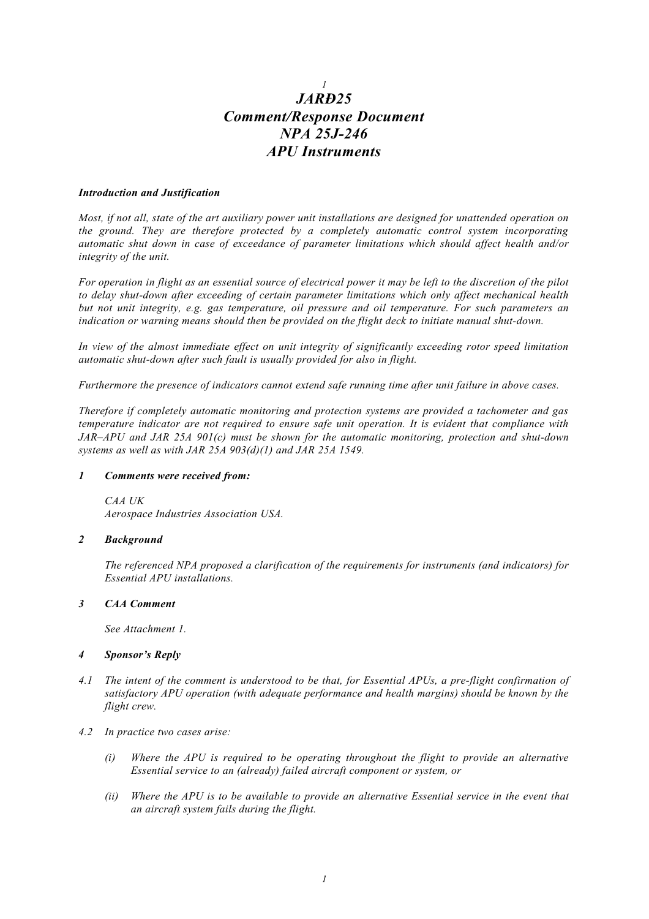# *1 JARÐ25 Comment/Response Document NPA 25J-246 APU Instruments*

# *Introduction and Justification*

*Most, if not all, state of the art auxiliary power unit installations are designed for unattended operation on the ground. They are therefore protected by a completely automatic control system incorporating automatic shut down in case of exceedance of parameter limitations which should affect health and/or integrity of the unit.*

*For operation in flight as an essential source of electrical power it may be left to the discretion of the pilot to delay shut-down after exceeding of certain parameter limitations which only affect mechanical health but not unit integrity, e.g. gas temperature, oil pressure and oil temperature. For such parameters an indication or warning means should then be provided on the flight deck to initiate manual shut-down.*

*In view of the almost immediate effect on unit integrity of significantly exceeding rotor speed limitation automatic shut-down after such fault is usually provided for also in flight.*

*Furthermore the presence of indicators cannot extend safe running time after unit failure in above cases.*

*Therefore if completely automatic monitoring and protection systems are provided a tachometer and gas temperature indicator are not required to ensure safe unit operation. It is evident that compliance with JAR–APU and JAR 25A 901(c) must be shown for the automatic monitoring, protection and shut-down systems as well as with JAR 25A 903(d)(1) and JAR 25A 1549.*

# *1 Comments were received from:*

*CAA UK Aerospace Industries Association USA.*

# *2 Background*

*The referenced NPA proposed a clarification of the requirements for instruments (and indicators) for Essential APU installations.*

# *3 CAA Comment*

*See Attachment 1.*

# *4 Sponsor's Reply*

- *4.1 The intent of the comment is understood to be that, for Essential APUs, a pre-flight confirmation of satisfactory APU operation (with adequate performance and health margins) should be known by the flight crew.*
- *4.2 In practice two cases arise:*
	- *(i) Where the APU is required to be operating throughout the flight to provide an alternative Essential service to an (already) failed aircraft component or system, or*
	- *(ii) Where the APU is to be available to provide an alternative Essential service in the event that an aircraft system fails during the flight.*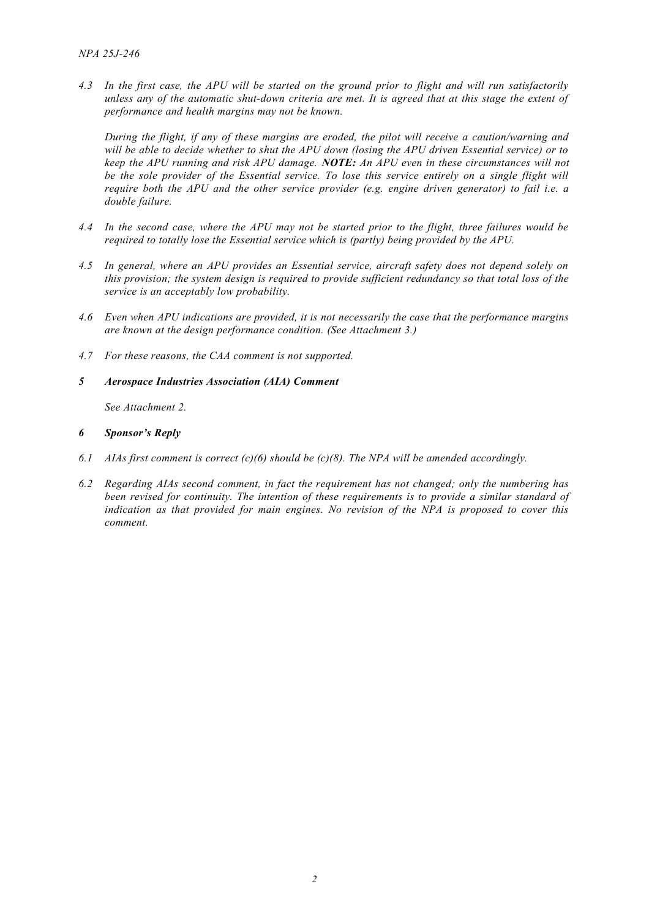*4.3 In the first case, the APU will be started on the ground prior to flight and will run satisfactorily unless any of the automatic shut-down criteria are met. It is agreed that at this stage the extent of performance and health margins may not be known.*

*During the flight, if any of these margins are eroded, the pilot will receive a caution/warning and will be able to decide whether to shut the APU down (losing the APU driven Essential service) or to keep the APU running and risk APU damage. NOTE: An APU even in these circumstances will not* be the sole provider of the Essential service. To lose this service entirely on a single flight will *require both the APU and the other service provider (e.g. engine driven generator) to fail i.e. a double failure.*

- *4.4 In the second case, where the APU may not be started prior to the flight, three failures would be required to totally lose the Essential service which is (partly) being provided by the APU.*
- *4.5 In general, where an APU provides an Essential service, aircraft safety does not depend solely on this provision; the system design is required to provide sufficient redundancy so that total loss of the service is an acceptably low probability.*
- *4.6 Even when APU indications are provided, it is not necessarily the case that the performance margins are known at the design performance condition. (See Attachment 3.)*
- *4.7 For these reasons, the CAA comment is not supported.*

# *5 Aerospace Industries Association (AIA) Comment*

*See Attachment 2.*

# *6 Sponsor's Reply*

- *6.1 AIAs first comment is correct (c)(6) should be (c)(8). The NPA will be amended accordingly.*
- *6.2 Regarding AIAs second comment, in fact the requirement has not changed; only the numbering has been revised for continuity. The intention of these requirements is to provide a similar standard of indication as that provided for main engines. No revision of the NPA is proposed to cover this comment.*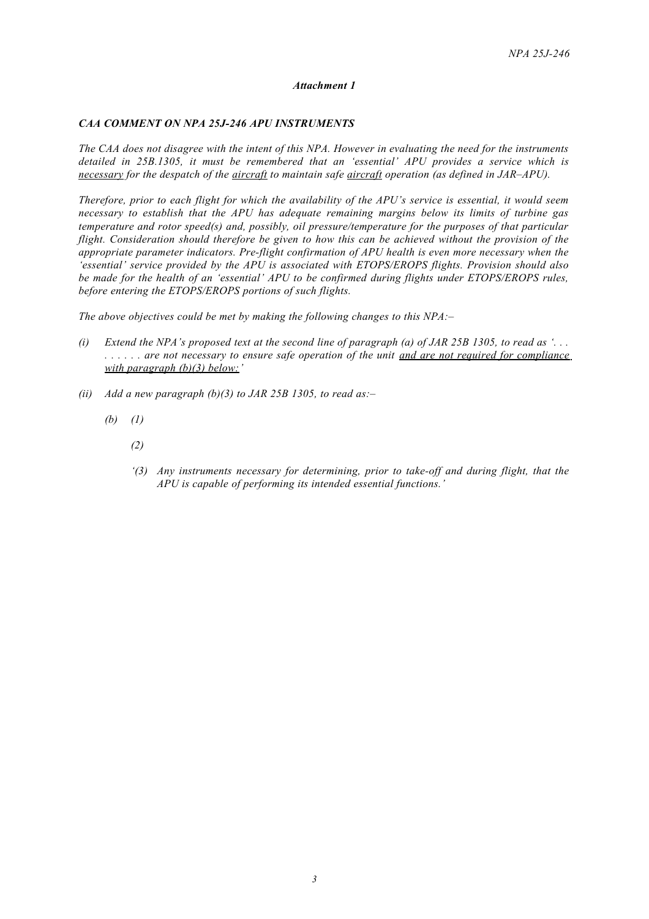# *Attachment 1*

# *CAA COMMENT ON NPA 25J-246 APU INSTRUMENTS*

*The CAA does not disagree with the intent of this NPA. However in evaluating the need for the instruments detailed in 25B.1305, it must be remembered that an 'essential' APU provides a service which is necessary for the despatch of the aircraft to maintain safe aircraft operation (as defined in JAR–APU).*

*Therefore, prior to each flight for which the availability of the APU's service is essential, it would seem necessary to establish that the APU has adequate remaining margins below its limits of turbine gas temperature and rotor speed(s) and, possibly, oil pressure/temperature for the purposes of that particular flight. Consideration should therefore be given to how this can be achieved without the provision of the appropriate parameter indicators. Pre-flight confirmation of APU health is even more necessary when the 'essential' service provided by the APU is associated with ETOPS/EROPS flights. Provision should also be made for the health of an 'essential' APU to be confirmed during flights under ETOPS/EROPS rules, before entering the ETOPS/EROPS portions of such flights.*

*The above objectives could be met by making the following changes to this NPA:–*

- *(i) Extend the NPA's proposed text at the second line of paragraph (a) of JAR 25B 1305, to read as '. . . . . . . . . are not necessary to ensure safe operation of the unit and are not required for compliance with paragraph (b)(3) below: '*
- *(ii) Add a new paragraph (b)(3) to JAR 25B 1305, to read as:–*
	- *(b) (1)*
		- *(2)*
		- *'(3) Any instruments necessary for determining, prior to take-off and during flight, that the APU is capable of performing its intended essential functions.'*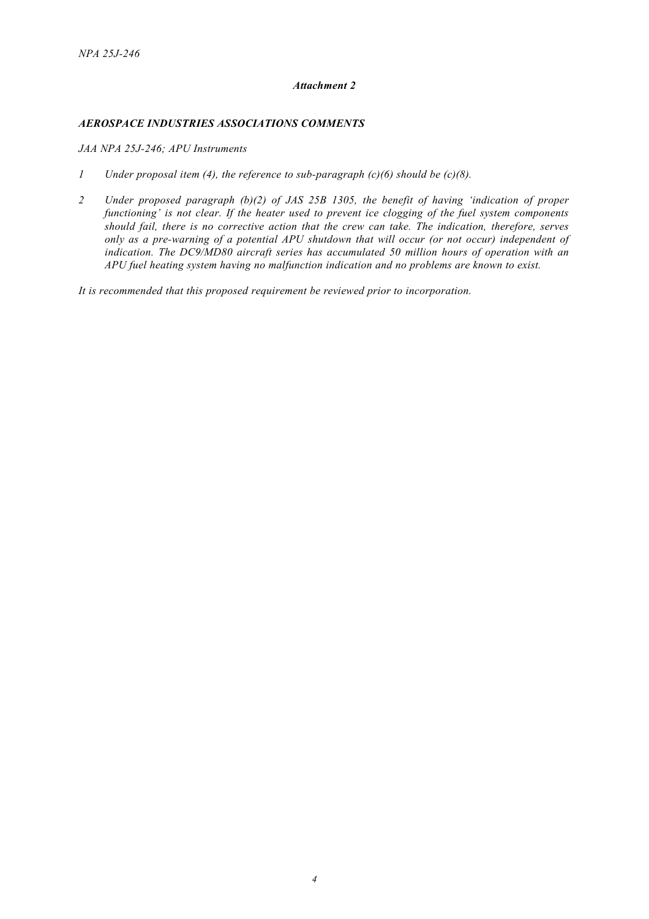# *Attachment 2*

# *AEROSPACE INDUSTRIES ASSOCIATIONS COMMENTS*

*JAA NPA 25J-246; APU Instruments*

- *1 Under proposal item (4), the reference to sub-paragraph (c)(6) should be (c)(8).*
- *2 Under proposed paragraph (b)(2) of JAS 25B 1305, the benefit of having 'indication of proper functioning' is not clear. If the heater used to prevent ice clogging of the fuel system components should fail, there is no corrective action that the crew can take. The indication, therefore, serves only as a pre-warning of a potential APU shutdown that will occur (or not occur) independent of indication. The DC9/MD80 aircraft series has accumulated 50 million hours of operation with an APU fuel heating system having no malfunction indication and no problems are known to exist.*

*It is recommended that this proposed requirement be reviewed prior to incorporation.*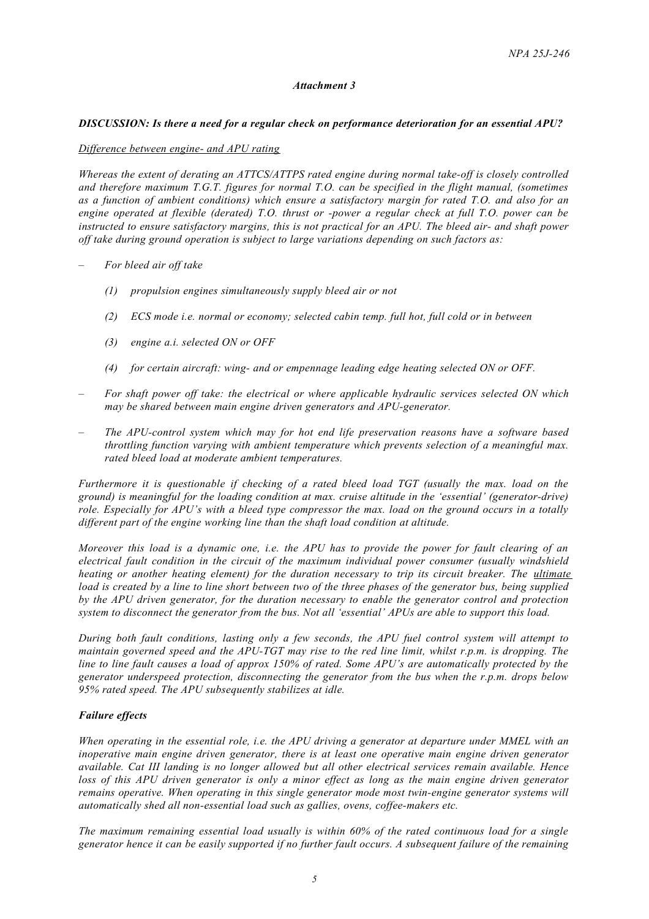### *Attachment 3*

### *DISCUSSION: Is there a need for a regular check on performance deterioration for an essential APU?*

#### *Difference between engine- and APU rating*

*Whereas the extent of derating an ATTCS/ATTPS rated engine during normal take-off is closely controlled and therefore maximum T.G.T. figures for normal T.O. can be specified in the flight manual, (sometimes as a function of ambient conditions) which ensure a satisfactory margin for rated T.O. and also for an engine operated at flexible (derated) T.O. thrust or -power a regular check at full T.O. power can be instructed to ensure satisfactory margins, this is not practical for an APU. The bleed air- and shaft power off take during ground operation is subject to large variations depending on such factors as:*

- *– For bleed air off take*
	- *(1) propulsion engines simultaneously supply bleed air or not*
	- *(2) ECS mode i.e. normal or economy; selected cabin temp. full hot, full cold or in between*
	- *(3) engine a.i. selected ON or OFF*
	- *(4) for certain aircraft: wing- and or empennage leading edge heating selected ON or OFF.*
- *– For shaft power off take: the electrical or where applicable hydraulic services selected ON which may be shared between main engine driven generators and APU-generator.*
- *– The APU-control system which may for hot end life preservation reasons have a software based throttling function varying with ambient temperature which prevents selection of a meaningful max. rated bleed load at moderate ambient temperatures.*

*Furthermore it is questionable if checking of a rated bleed load TGT (usually the max. load on the ground) is meaningful for the loading condition at max. cruise altitude in the 'essential' (generator-drive) role. Especially for APU's with a bleed type compressor the max. load on the ground occurs in a totally different part of the engine working line than the shaft load condition at altitude.*

*Moreover this load is a dynamic one, i.e. the APU has to provide the power for fault clearing of an electrical fault condition in the circuit of the maximum individual power consumer (usually windshield heating or another heating element) for the duration necessary to trip its circuit breaker. The ultimate load is created by a line to line short between two of the three phases of the generator bus, being supplied by the APU driven generator, for the duration necessary to enable the generator control and protection system to disconnect the generator from the bus. Not all 'essential' APUs are able to support this load.*

*During both fault conditions, lasting only a few seconds, the APU fuel control system will attempt to maintain governed speed and the APU-TGT may rise to the red line limit, whilst r.p.m. is dropping. The line to line fault causes a load of approx 150% of rated. Some APU's are automatically protected by the generator underspeed protection, disconnecting the generator from the bus when the r.p.m. drops below 95% rated speed. The APU subsequently stabilizes at idle.*

#### *Failure effects*

*When operating in the essential role, i.e. the APU driving a generator at departure under MMEL with an inoperative main engine driven generator, there is at least one operative main engine driven generator available. Cat III landing is no longer allowed but all other electrical services remain available. Hence loss of this APU driven generator is only a minor effect as long as the main engine driven generator remains operative. When operating in this single generator mode most twin-engine generator systems will automatically shed all non-essential load such as gallies, ovens, coffee-makers etc.*

*The maximum remaining essential load usually is within 60% of the rated continuous load for a single generator hence it can be easily supported if no further fault occurs. A subsequent failure of the remaining*